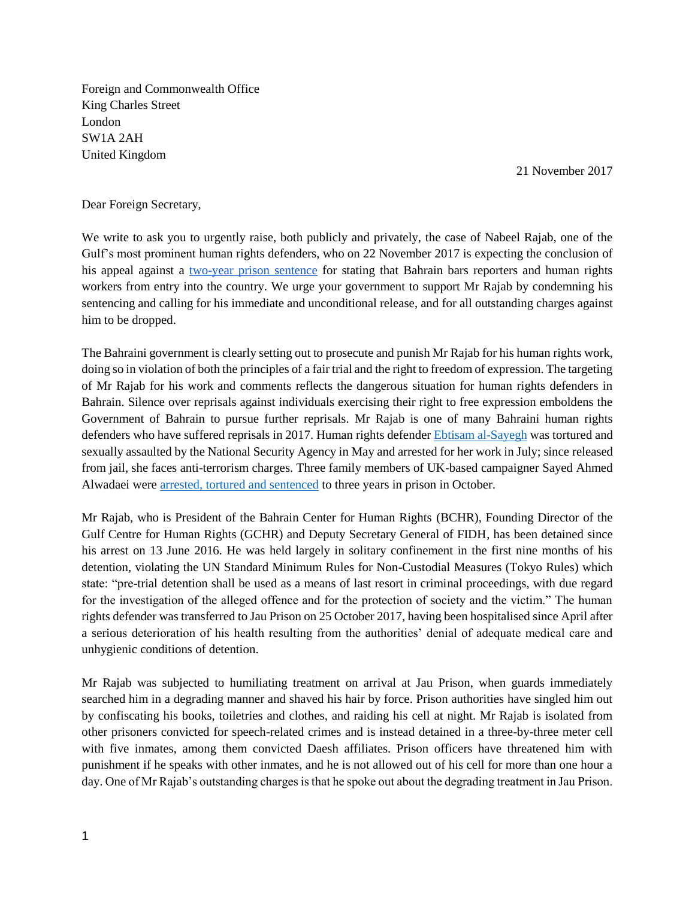Foreign and Commonwealth Office King Charles Street London SW1A 2AH United Kingdom

21 November 2017

## Dear Foreign Secretary,

We write to ask you to urgently raise, both publicly and privately, the case of Nabeel Rajab, one of the Gulf's most prominent human rights defenders, who on 22 November 2017 is expecting the conclusion of his appeal against [a](https://www.amnesty.org.uk/press-releases/bahrain-two-year-prison-sentence-human-rights-activist-nabeel-rajab-condemned) [two-year prison sentence](https://www.amnesty.org.uk/press-releases/bahrain-two-year-prison-sentence-human-rights-activist-nabeel-rajab-condemned) for stating that Bahrain bars reporters and human rights workers from entry into the country. We urge your government to support Mr Rajab by condemning his sentencing and calling for his immediate and unconditional release, and for all outstanding charges against him to be dropped.

The Bahraini government is clearly setting out to prosecute and punish Mr Rajab for his human rights work, doing so in violation of both the principles of a fair trial and the right to freedom of expression. The targeting of Mr Rajab for his work and comments reflects the dangerous situation for human rights defenders in Bahrain. Silence over reprisals against individuals exercising their right to free expression emboldens the Government of Bahrain to pursue further reprisals. Mr Rajab is one of many Bahraini human rights defenders who have suffered reprisals in 2017. Human rights defender [Ebtisam al-Sayegh](https://www.amnesty.org/en/latest/news/2017/07/bahrain-human-rights-defender-charged-with-terrorism/) was tortured and sexually assaulted by the National Security Agency in May and arrested for her work in July; since released from jail, she faces anti-terrorism charges. Three family members of UK-based campaigner Sayed Ahmed Alwadaei were [arrested, tortured and sentenced](https://www.hrw.org/news/2017/10/30/bahrain-activists-kin-convicted-flawed-trial) to three years in prison in October.

Mr Rajab, who is President of the Bahrain Center for Human Rights (BCHR), Founding Director of the Gulf Centre for Human Rights (GCHR) and Deputy Secretary General of FIDH, has been detained since his arrest on 13 June 2016. He was held largely in solitary confinement in the first nine months of his detention, violating the UN Standard Minimum Rules for Non-Custodial Measures (Tokyo Rules) which state: "pre-trial detention shall be used as a means of last resort in criminal proceedings, with due regard for the investigation of the alleged offence and for the protection of society and the victim." The human rights defender was transferred to Jau Prison on 25 October 2017, having been hospitalised since April after a serious deterioration of his health resulting from the authorities' denial of adequate medical care and unhygienic conditions of detention.

Mr Rajab was subjected to humiliating treatment on arrival at Jau Prison, when guards immediately searched him in a degrading manner and shaved his hair by force. Prison authorities have singled him out by confiscating his books, toiletries and clothes, and raiding his cell at night. Mr Rajab is isolated from other prisoners convicted for speech-related crimes and is instead detained in a three-by-three meter cell with five inmates, among them convicted Daesh affiliates. Prison officers have threatened him with punishment if he speaks with other inmates, and he is not allowed out of his cell for more than one hour a day. One of Mr Rajab's outstanding charges is that he spoke out about the degrading treatment in Jau Prison.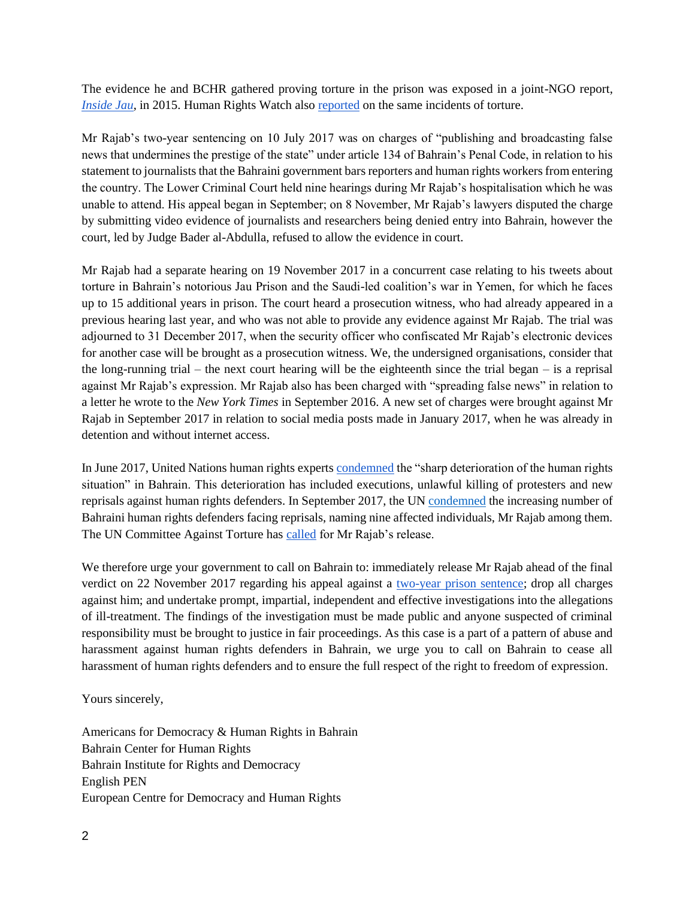The evidence he and BCHR gathered proving torture in the prison was exposed in a joint-NGO report, *[Inside Jau](http://birdbh.org/wp-content/uploads/2015/06/Inside-Jau.pdf)*, in 2015. Human Rights Watch also [reported](https://www.hrw.org/news/2015/05/06/bahrain-allegations-severe-prisoner-abuse) on the same incidents of torture.

Mr Rajab's two-year sentencing on 10 July 2017 was on charges of "publishing and broadcasting false news that undermines the prestige of the state" under article 134 of Bahrain's Penal Code, in relation to his statement to journalists that the Bahraini government bars reporters and human rights workers from entering the country. The Lower Criminal Court held nine hearings during Mr Rajab's hospitalisation which he was unable to attend. His appeal began in September; on 8 November, Mr Rajab's lawyers disputed the charge by submitting video evidence of journalists and researchers being denied entry into Bahrain, however the court, led by Judge Bader al-Abdulla, refused to allow the evidence in court.

Mr Rajab had a separate hearing on 19 November 2017 in a concurrent case relating to his tweets about torture in Bahrain's notorious Jau Prison and the Saudi-led coalition's war in Yemen, for which he faces up to 15 additional years in prison. The court heard a prosecution witness, who had already appeared in a previous hearing last year, and who was not able to provide any evidence against Mr Rajab. The trial was adjourned to 31 December 2017, when the security officer who confiscated Mr Rajab's electronic devices for another case will be brought as a prosecution witness. We, the undersigned organisations, consider that the long-running trial – the next court hearing will be the eighteenth since the trial began – is a reprisal against Mr Rajab's expression. Mr Rajab also has been charged with "spreading false news" in relation to a letter he wrote to the *New York Times* in September 2016. A new set of charges were brought against Mr Rajab in September 2017 in relation to social media posts made in January 2017, when he was already in detention and without internet access.

In June 2017, United Nations human rights expert[s condemned](http://www.ohchr.org/EN/NewsEvents/Pages/DisplayNews.aspx?NewsID=21762&LangID=E) the "sharp deterioration of the human rights situation" in Bahrain. This deterioration has included executions, unlawful killing of protesters and new reprisals against human rights defenders. In September 2017, the UN [condemned](http://birdbh.org/2017/09/un-reveals-alarming-surge-in-reprisals-for-human-rights-defenders-cooperating-with-un/) the increasing number of Bahraini human rights defenders facing reprisals, naming nine affected individuals, Mr Rajab among them. The UN Committee Against Torture has [called](http://docstore.ohchr.org/SelfServices/FilesHandler.ashx?enc=6QkG1d%2fPPRiCAqhKb7yhsqYPuFZC34VM6MoD0MvS%2bS%2bhcJl3TUrOvvF%2fGuWWUtDMNTj4lYASRqLw7nbC8IcS25V04LGI8FMQttufqvlxyVSqBsgx3LVglkkCx%2bAgXg%2bL) for Mr Rajab's release.

We therefore urge your government to call on Bahrain to: immediately release Mr Rajab ahead of the final verdict on 22 November 2017 regarding his appeal against [a](https://www.amnesty.org.uk/press-releases/bahrain-two-year-prison-sentence-human-rights-activist-nabeel-rajab-condemned) [two-year prison sentence;](https://www.amnesty.org.uk/press-releases/bahrain-two-year-prison-sentence-human-rights-activist-nabeel-rajab-condemned) drop all charges against him; and undertake prompt, impartial, independent and effective investigations into the allegations of ill-treatment. The findings of the investigation must be made public and anyone suspected of criminal responsibility must be brought to justice in fair proceedings. As this case is a part of a pattern of abuse and harassment against human rights defenders in Bahrain, we urge you to call on Bahrain to cease all harassment of human rights defenders and to ensure the full respect of the right to freedom of expression.

Yours sincerely,

Americans for Democracy & Human Rights in Bahrain Bahrain Center for Human Rights Bahrain Institute for Rights and Democracy English PEN European Centre for Democracy and Human Rights